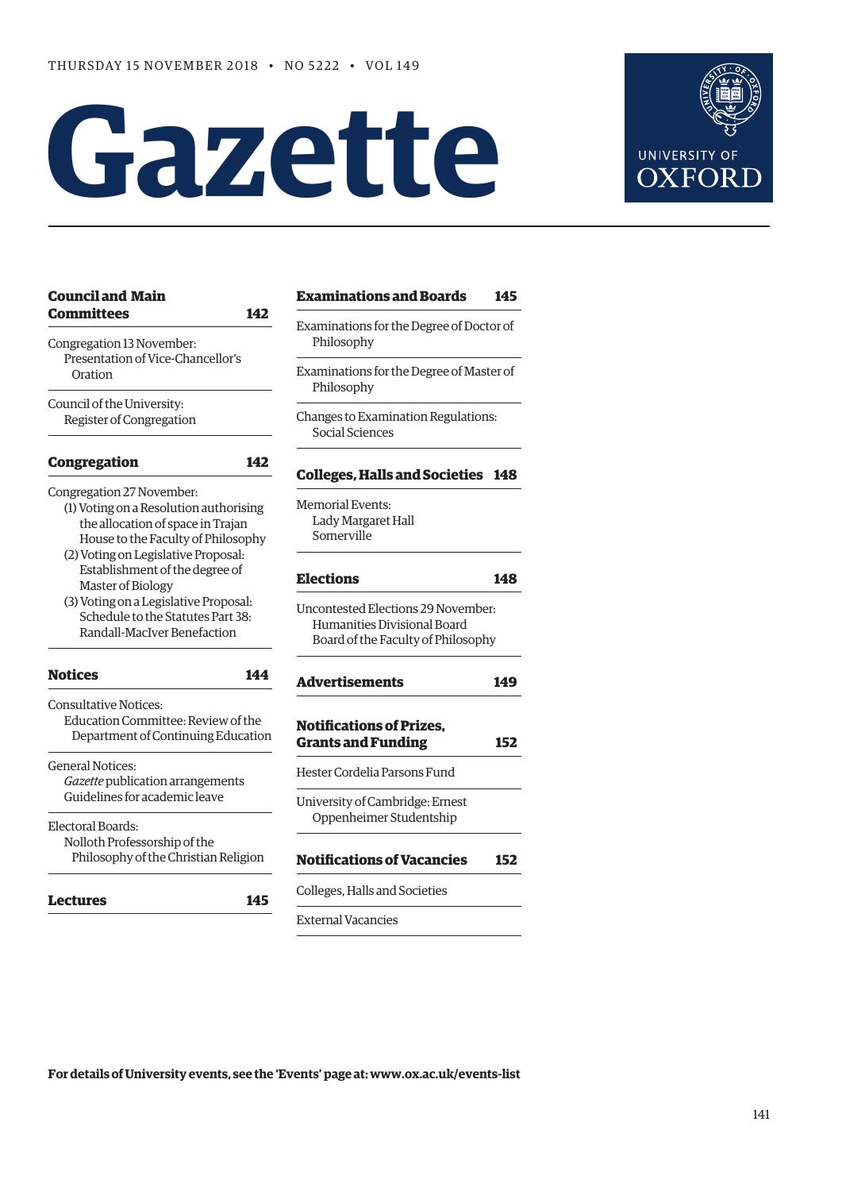# **Gazette**



| <b>Council and Main</b>                                                                                                                                                               | <b>Examinations and Boards</b>                                                                          | 145 |
|---------------------------------------------------------------------------------------------------------------------------------------------------------------------------------------|---------------------------------------------------------------------------------------------------------|-----|
| <b>Committees</b><br>142<br>Congregation 13 November:<br>Presentation of Vice-Chancellor's<br>Oration                                                                                 | Examinations for the Degree of Doctor of<br>Philosophy                                                  |     |
|                                                                                                                                                                                       | Examinations for the Degree of Master of<br>Philosophy                                                  |     |
| Council of the University:<br>Register of Congregation                                                                                                                                | Changes to Examination Regulations:<br>Social Sciences                                                  |     |
| <b>Congregation</b><br>142                                                                                                                                                            | <b>Colleges, Halls and Societies 148</b>                                                                |     |
| Congregation 27 November:<br>(1) Voting on a Resolution authorising<br>the allocation of space in Trajan<br>House to the Faculty of Philosophy<br>(2) Voting on Legislative Proposal: | <b>Memorial Events:</b><br>Lady Margaret Hall<br>Somerville                                             |     |
| Establishment of the degree of<br>Master of Biology                                                                                                                                   | <b>Elections</b>                                                                                        | 148 |
| (3) Voting on a Legislative Proposal:<br>Schedule to the Statutes Part 38:<br>Randall-MacIver Benefaction                                                                             | Uncontested Elections 29 November:<br>Humanities Divisional Board<br>Board of the Faculty of Philosophy |     |
| <b>Notices</b><br>144                                                                                                                                                                 | <b>Advertisements</b>                                                                                   | 149 |
| <b>Consultative Notices:</b><br>Education Committee: Review of the<br>Department of Continuing Education                                                                              | <b>Notifications of Prizes.</b><br><b>Grants and Funding</b>                                            | 152 |
| <b>General Notices:</b><br>Gazette publication arrangements<br>Guidelines for academic leave                                                                                          | Hester Cordelia Parsons Fund                                                                            |     |
|                                                                                                                                                                                       | University of Cambridge: Ernest<br>Oppenheimer Studentship                                              |     |
| Electoral Boards:<br>Nolloth Professorship of the<br>Philosophy of the Christian Religion                                                                                             | <b>Notifications of Vacancies</b>                                                                       | 152 |
| Lectures<br>145                                                                                                                                                                       | Colleges, Halls and Societies                                                                           |     |
|                                                                                                                                                                                       | <b>External Vacancies</b>                                                                               |     |

**For details of University events, see the 'Events' page at: [www.ox.ac.uk/events-list](http://www.ox.ac.uk/events-list)**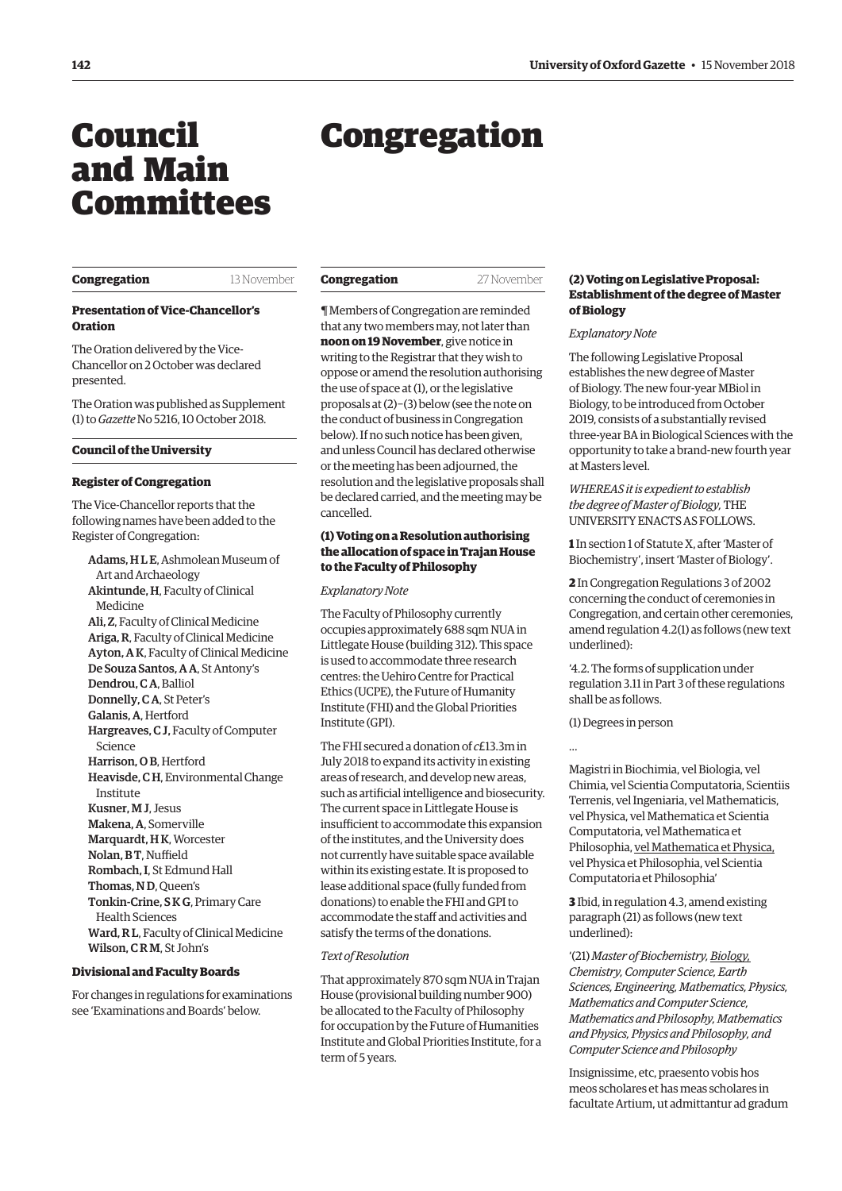# <span id="page-1-0"></span>Council and Main Committees

# Congregation

### **Congregation** 13 November

### **Presentation of Vice-Chancellor's Oration**

The Oration delivered by the Vice-Chancellor on 2 October was declared presented.

The Oration was published as Supplement (1) to *Gazette* No 5216, 10 October 2018.

### **Council of the University**

### **Register of Congregation**

The Vice-Chancellor reports that the following names have been added to the Register of Congregation:

Adams, H L E, Ashmolean Museum of Art and Archaeology Akintunde, H, Faculty of Clinical Medicine Ali, Z, Faculty of Clinical Medicine Ariga, R, Faculty of Clinical Medicine Ayton, A K, Faculty of Clinical Medicine De Souza Santos, A A, St Antony's Dendrou, C A, Balliol Donnelly, C A, St Peter's Galanis, A, Hertford Hargreaves, C J, Faculty of Computer Science Harrison, O B, Hertford Heavisde, C H, Environmental Change Institute Kusner, M J, Jesus Makena, A, Somerville Marquardt, H K, Worcester Nolan, BT, Nuffield Rombach, I, St Edmund Hall Thomas, N D, Queen's Tonkin-Crine, S K G, Primary Care Health Sciences Ward, R L, Faculty of Clinical Medicine Wilson, C R M, St John's

### **Divisional and Faculty Boards**

For changes in regulations for examinations see 'Examinations and Boards' below.

| Congregation | 27 November |
|--------------|-------------|
|              |             |

¶ Members of Congregation are reminded that any two members may, not later than **noon on 19 November**, give notice in writing to the Registrar that they wish to oppose or amend the resolution authorising the use of space at (1), or the legislative proposals at (2)−(3) below (see the note on the conduct of business in Congregation below). If no such notice has been given, and unless Council has declared otherwise or the meeting has been adjourned, the resolution and the legislative proposals shall be declared carried, and the meeting may be cancelled.

### **(1) Voting on a Resolution authorising the allocation of space in Trajan House to the Faculty of Philosophy**

### *Explanatory Note*

The Faculty of Philosophy currently occupies approximately 688 sqm NUA in Littlegate House (building 312). This space is used to accommodate three research centres: the Uehiro Centre for Practical Ethics (UCPE), the Future of Humanity Institute (FHI) and the Global Priorities Institute (GPI).

The FHI secured a donation of *c*£13.3m in July 2018 to expand its activity in existing areas of research, and develop new areas, such as artificial intelligence and biosecurity. The current space in Littlegate House is insufficient to accommodate this expansion of the institutes, and the University does not currently have suitable space available within its existing estate. It is proposed to lease additional space (fully funded from donations) to enable the FHI and GPI to accommodate the staff and activities and satisfy the terms of the donations.

### *Text of Resolution*

That approximately 870 sqm NUA in Trajan House (provisional building number 900) be allocated to the Faculty of Philosophy for occupation by the Future of Humanities Institute and Global Priorities Institute, for a term of 5 years.

### **(2) Voting on Legislative Proposal: Establishment of the degree of Master of Biology**

### *Explanatory Note*

The following Legislative Proposal establishes the new degree of Master of Biology. The new four-year MBiol in Biology, to be introduced from October 2019, consists of a substantially revised three-year BA in Biological Sciences with the opportunity to take a brand-new fourth year at Masters level.

### *WHEREAS it is expedient to establish the degree of Master of Biology,* THE UNIVERSITY ENACTS AS FOLLOWS.

**1** In section 1 of Statute X, after 'Master of Biochemistry', insert 'Master of Biology'.

**2** In Congregation Regulations 3 of 2002 concerning the conduct of ceremonies in Congregation, and certain other ceremonies, amend regulation 4.2(1) as follows (new text underlined):

'4.2. The forms of supplication under regulation 3.11 in Part 3 of these regulations shall be as follows.

(1) Degrees in person

…

Magistri in Biochimia, vel Biologia, vel Chimia, vel Scientia Computatoria, Scientiis Terrenis, vel Ingeniaria, vel Mathematicis, vel Physica, vel Mathematica et Scientia Computatoria, vel Mathematica et Philosophia, vel Mathematica et Physica, vel Physica et Philosophia, vel Scientia Computatoria et Philosophia'

**3** Ibid, in regulation 4.3, amend existing paragraph (21) as follows (new text underlined):

'(21) *Master of Biochemistry, Biology, Chemistry, Computer Science, Earth Sciences, Engineering, Mathematics, Physics, Mathematics and Computer Science, Mathematics and Philosophy, Mathematics and Physics, Physics and Philosophy, and Computer Science and Philosophy*

Insignissime, etc, praesento vobis hos meos scholares et has meas scholares in facultate Artium, ut admittantur ad gradum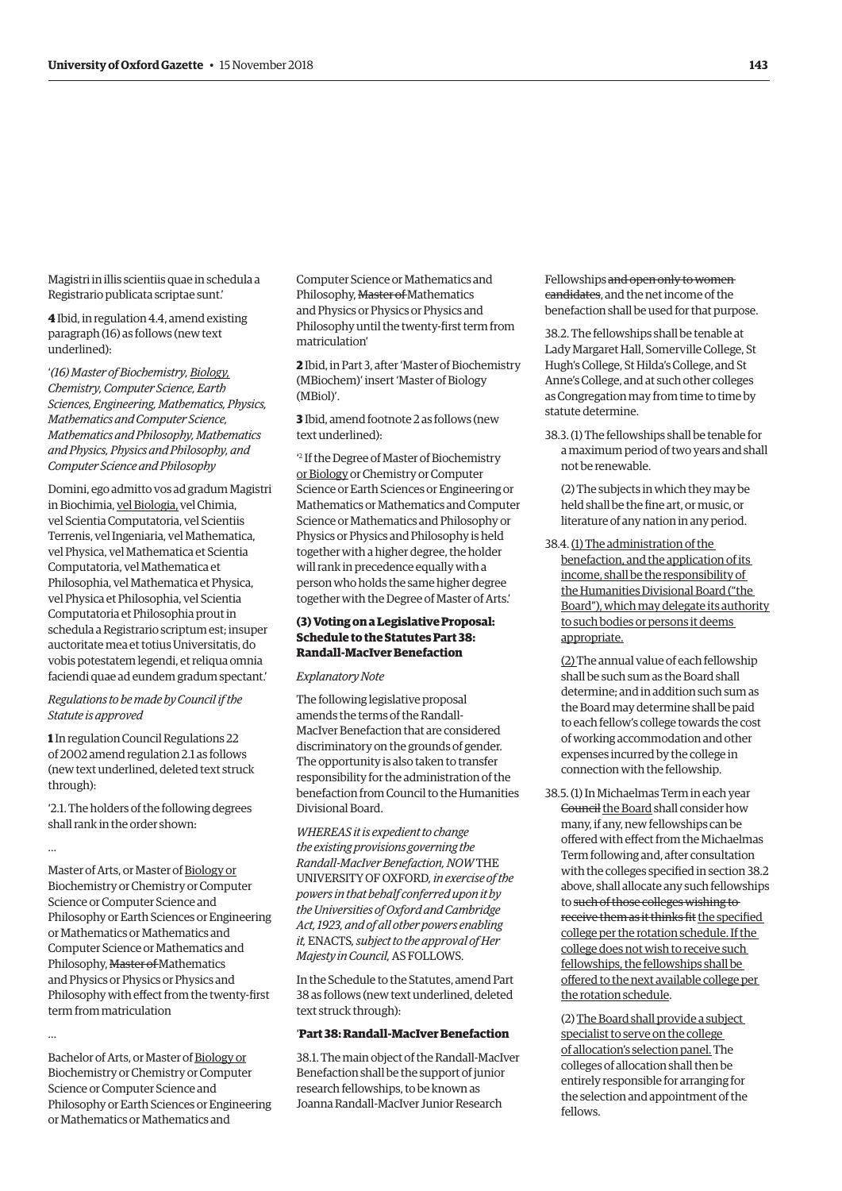Magistri in illis scientiis quae in schedula a Registrario publicata scriptae sunt.'

**4** Ibid, in regulation 4.4, amend existing paragraph (16) as follows (new text underlined):

'*(16) Master of Biochemistry, Biology, Chemistry, Computer Science, Earth Sciences, Engineering, Mathematics, Physics, Mathematics and Computer Science, Mathematics and Philosophy, Mathematics and Physics, Physics and Philosophy, and Computer Science and Philosophy*

Domini, ego admitto vos ad gradum Magistri in Biochimia, vel Biologia, vel Chimia, vel Scientia Computatoria, vel Scientiis Terrenis, vel Ingeniaria, vel Mathematica, vel Physica, vel Mathematica et Scientia Computatoria, vel Mathematica et Philosophia, vel Mathematica et Physica, vel Physica et Philosophia, vel Scientia Computatoria et Philosophia prout in schedula a Registrario scriptum est; insuper auctoritate mea et totius Universitatis, do vobis potestatem legendi, et reliqua omnia faciendi quae ad eundem gradum spectant.'

### *Regulations to be made by Council if the Statute is approved*

**1** In regulation Council Regulations 22 of 2002 amend regulation 2.1 as follows (new text underlined, deleted text struck through):

'2.1. The holders of the following degrees shall rank in the order shown:

…

Master of Arts, or Master of Biology or Biochemistry or Chemistry or Computer Science or Computer Science and Philosophy or Earth Sciences or Engineering or Mathematics or Mathematics and Computer Science or Mathematics and Philosophy, Master of Mathematics and Physics or Physics or Physics and Philosophy with effect from the twenty-first term from matriculation

…

Bachelor of Arts, or Master of Biology or Biochemistry or Chemistry or Computer Science or Computer Science and Philosophy or Earth Sciences or Engineering or Mathematics or Mathematics and

Computer Science or Mathematics and Philosophy, Master of Mathematics and Physics or Physics or Physics and Philosophy until the twenty-first term from matriculation'

**2** Ibid, in Part 3, after 'Master of Biochemistry (MBiochem)' insert 'Master of Biology (MBiol)'.

**3** Ibid, amend footnote 2 as follows (new text underlined):

' 2 If the Degree of Master of Biochemistry or Biology or Chemistry or Computer Science or Earth Sciences or Engineering or Mathematics or Mathematics and Computer Science or Mathematics and Philosophy or Physics or Physics and Philosophy is held together with a higher degree, the holder will rank in precedence equally with a person who holds the same higher degree together with the Degree of Master of Arts.'

## **(3) Voting on a Legislative Proposal: Schedule to the Statutes Part 38: Randall-MacIver Benefaction**

#### *Explanatory Note*

The following legislative proposal amends the terms of the Randall-MacIver Benefaction that are considered discriminatory on the grounds of gender. The opportunity is also taken to transfer responsibility for the administration of the benefaction from Council to the Humanities Divisional Board.

*WHEREAS it is expedient to change the existing provisions governing the Randall-MacIver Benefaction, NOW* THE UNIVERSITY OF OXFORD*, in exercise of the powers in that behalf conferred upon it by the Universities of Oxford and Cambridge Act, 1923, and of all other powers enabling it,* ENACTS*, subject to the approval of Her Majesty in Council,* AS FOLLOWS.

In the Schedule to the Statutes, amend Part 38 as follows (new text underlined, deleted text struck through):

## '**Part 38: Randall-MacIver Benefaction**

38.1. The main object of the Randall-MacIver Benefaction shall be the support of junior research fellowships, to be known as Joanna Randall-MacIver Junior Research

Fellowships and open only to women candidates, and the net income of the benefaction shall be used for that purpose.

38.2. The fellowships shall be tenable at Lady Margaret Hall, Somerville College, St Hugh's College, St Hilda's College, and St Anne's College, and at such other colleges as Congregation may from time to time by statute determine.

38.3. (1) The fellowships shall be tenable for a maximum period of two years and shall not be renewable.

(2) The subjects in which they may be held shall be the fine art, or music, or literature of any nation in any period.

38.4. (1) The administration of the benefaction, and the application of its income, shall be the responsibility of the Humanities Divisional Board ("the Board"), which may delegate its authority to such bodies or persons it deems appropriate.

(2) The annual value of each fellowship shall be such sum as the Board shall determine; and in addition such sum as the Board may determine shall be paid to each fellow's college towards the cost of working accommodation and other expenses incurred by the college in connection with the fellowship.

38.5. (1) In Michaelmas Term in each year Gouncil the Board shall consider how many, if any, new fellowships can be offered with effect from the Michaelmas Term following and, after consultation with the colleges specified in section 38.2 above, shall allocate any such fellowships to such of those colleges wishing to receive them as it thinks fit the specified college per the rotation schedule. If the college does not wish to receive such fellowships, the fellowships shall be offered to the next available college per the rotation schedule.

(2) The Board shall provide a subject specialist to serve on the college of allocation's selection panel. The colleges of allocation shall then be entirely responsible for arranging for the selection and appointment of the fellows.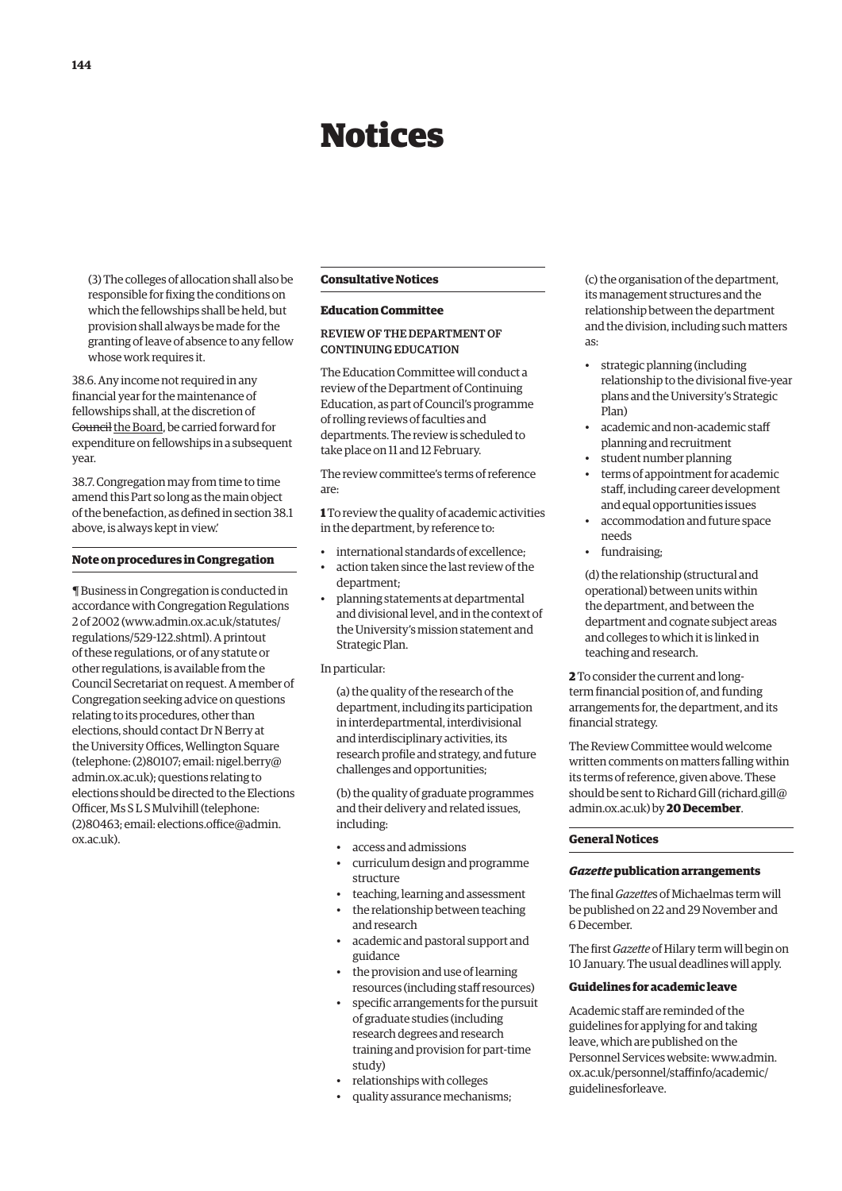# Notices

<span id="page-3-0"></span>(3) The colleges of allocation shall also be responsible for fixing the conditions on which the fellowships shall be held, but provision shall always be made for the granting of leave of absence to any fellow whose work requires it.

38.6. Any income not required in any financial year for the maintenance of fellowships shall, at the discretion of Gouncil the Board, be carried forward for expenditure on fellowships in a subsequent year.

38.7. Congregation may from time to time amend this Part so long as the main object of the benefaction, as defined in section 38.1 above, is always kept in view.'

### **Note on procedures in Congregation**

¶ Business in Congregation is conducted in accordance with Congregation Regulations 2 of 2002 [\(www.admin.ox.ac.uk/statutes/](http://www.admin.ox.ac.uk/statutes/regulations/529-122.shtml) [regulations/529-122.shtml\). A](http://www.admin.ox.ac.uk/statutes/regulations/529-122.shtml) printout of these regulations, or of any statute or other regulations, is available from the Council Secretariat on request. A member of Congregation seeking advice on questions relating to its procedures, other than elections, should contact Dr N Berry at the University Offices, Wellington Square [\(telephone: \(2\)80107; email: nigel.berry@](mailto:nigel.berry@admin.ox.ac.uk) admin.ox.ac.uk); questions relating to elections should be directed to the Elections Officer, Ms S L S Mulvihill (telephone: [\(2\)80463; email: elections.office@admin.](mailto:elections.office@admin.ox.ac.uk) ox.ac.uk).

### **Consultative Notices**

### **Education Committee**

### REVIEW OF THE DEPARTMENT OF CONTINUING EDUCATION

The Education Committee will conduct a review of the Department of Continuing Education, as part of Council's programme of rolling reviews of faculties and departments. The review is scheduled to take place on 11 and 12 February.

The review committee's terms of reference are:

**1** To review the quality of academic activities in the department, by reference to:

- international standards of excellence;
- action taken since the last review of the department;
- planning statements at departmental and divisional level, and in the context of the University's mission statement and Strategic Plan.

### In particular:

(a) the quality of the research of the department, including its participation in interdepartmental, interdivisional and interdisciplinary activities, its research profile and strategy, and future challenges and opportunities;

(b) the quality of graduate programmes and their delivery and related issues, including:

- access and admissions
- curriculum design and programme structure
- teaching, learning and assessment
- the relationship between teaching and research
- academic and pastoral support and guidance
- the provision and use of learning resources (including staff resources)
- specific arrangements for the pursuit of graduate studies (including research degrees and research training and provision for part-time study)
- relationships with colleges
- quality assurance mechanisms;

(c) the organisation of the department, its management structures and the relationship between the department and the division, including such matters as:

- strategic planning (including relationship to the divisional five-year plans and the University's Strategic Plan)
- academic and non-academic staff planning and recruitment
- student number planning
- terms of appointment for academic staff, including career development and equal opportunities issues
- accommodation and future space needs
- fundraising;

(d) the relationship (structural and operational) between units within the department, and between the department and cognate subject areas and colleges to which it is linked in teaching and research.

**2** To consider the current and longterm financial position of, and funding arrangements for, the department, and its financial strategy.

The Review Committee would welcome written comments on matters falling within its terms of reference, given above. These should be sent to Richard Gill [\(richard.gill@](mailto:richard.gill@admin.ox.ac.uk) [admin.ox.ac.uk\) by](mailto:richard.gill@admin.ox.ac.uk) **20 December**.

### **General Notices**

### *Gazette* **publication arrangements**

The final *Gazette*s of Michaelmas term will be published on 22 and 29 November and 6 December.

The first *Gazette* of Hilary term will begin on 10 January. The usual deadlines will apply.

### **Guidelines for academic leave**

Academic staff are reminded of the guidelines for applying for and taking leave, which are published on the [Personnel Services website: www.admin.](www.admin.ox.ac.uk/personnel/staffinfo/academic/guidelinesforleave) ox.ac.uk/personnel/staffinfo/academic/ guidelinesforleave.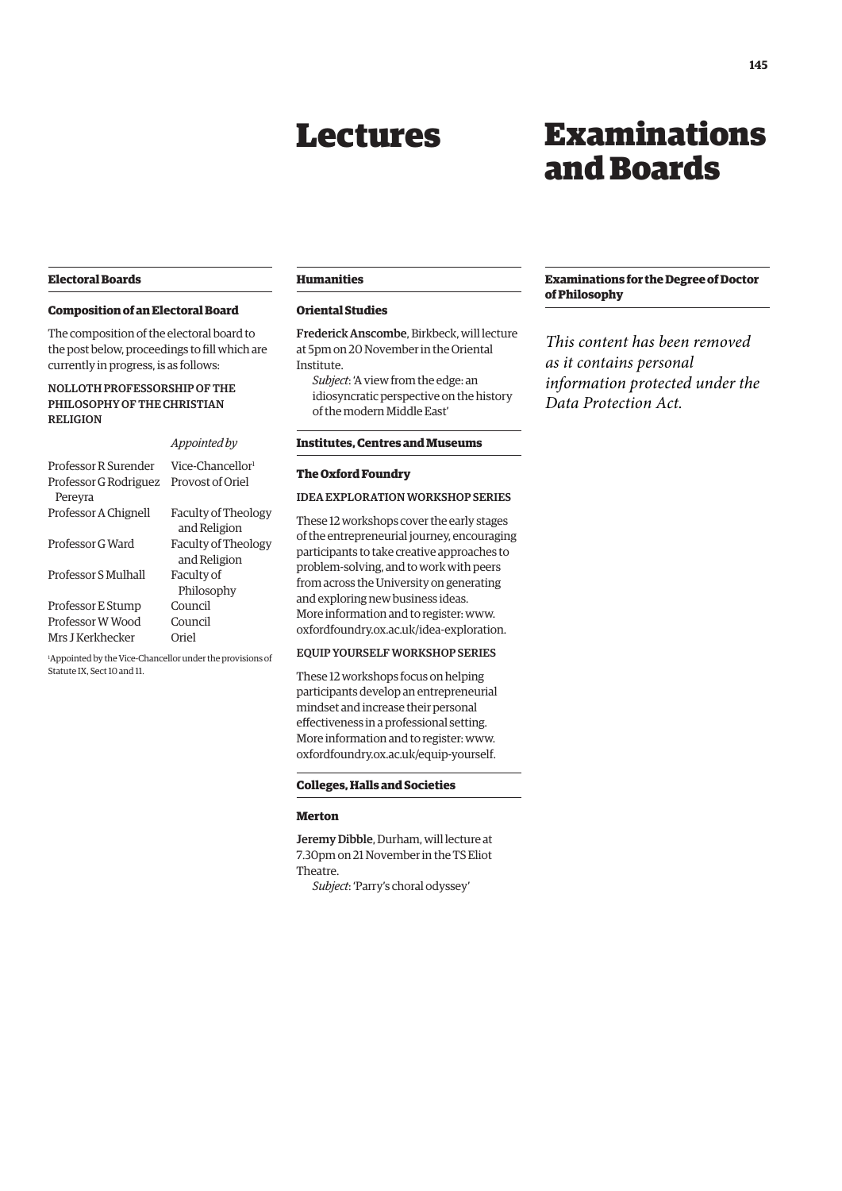# Lectures

# Examinations and Boards

## <span id="page-4-0"></span>**Electoral Boards**

### **Composition of an Electoral Board**

The composition of the electoral board to the post below, proceedings to fill which are currently in progress, is as follows:

# NOLLOTH PROFESSORSHIP OF THE PHILOSOPHY OF THE CHRISTIAN RELIGION

#### *Appointed by*

Professor R Surender Vice-Chancellor<sup>1</sup> Professor G Rodriguez Provost of Oriel Pereyra Professor A Chignell Faculty of Theology and Religion Professor G Ward Faculty of Theology and Religion Professor S Mulhall Faculty of Philosophy Professor E Stump Council Professor W Wood Council Mrs J Kerkhecker Oriel

1 Appointed by the Vice-Chancellor under the provisions of Statute IX, Sect 10 and 11.

### **Humanities**

### **Oriental Studies**

Frederick Anscombe, Birkbeck, will lecture at 5pm on 20 November in the Oriental Institute. *Subject*: 'A view from the edge: an

idiosyncratic perspective on the history of the modern Middle East'

# **Institutes, Centres and Museums**

# **The Oxford Foundry**

### IDEA EXPLORATION WORKSHOP SERIES

These 12 workshops cover the early stages of the entrepreneurial journey, encouraging participants to take creative approaches to problem-solving, and to work with peers from across the University on generating and exploring new business ideas. More information and to register: [www.](http://www.oxfordfoundry.ox.ac.uk/idea-exploration) [oxfordfoundry.ox.ac.uk/idea-exploration.](http://www.oxfordfoundry.ox.ac.uk/idea-exploration)

### EQUIP YOURSELF WORKSHOP SERIES

These 12 workshops focus on helping participants develop an entrepreneurial mindset and increase their personal effectiveness in a professional setting. More information and to register: [www.](http://www.oxfordfoundry.ox.ac.uk/equip-yourself) [oxfordfoundry.ox.ac.uk/equip-yourself.](http://www.oxfordfoundry.ox.ac.uk/equip-yourself)

### **Colleges, Halls and Societies**

### **Merton**

Jeremy Dibble, Durham, will lecture at 7.30pm on 21 November in the TS Eliot Theatre.

*Subject*: 'Parry's choral odyssey'

### **Examinations for the Degree of Doctor of Philosophy**

*This content has been removed as it contains personal information protected under the Data Protection Act.*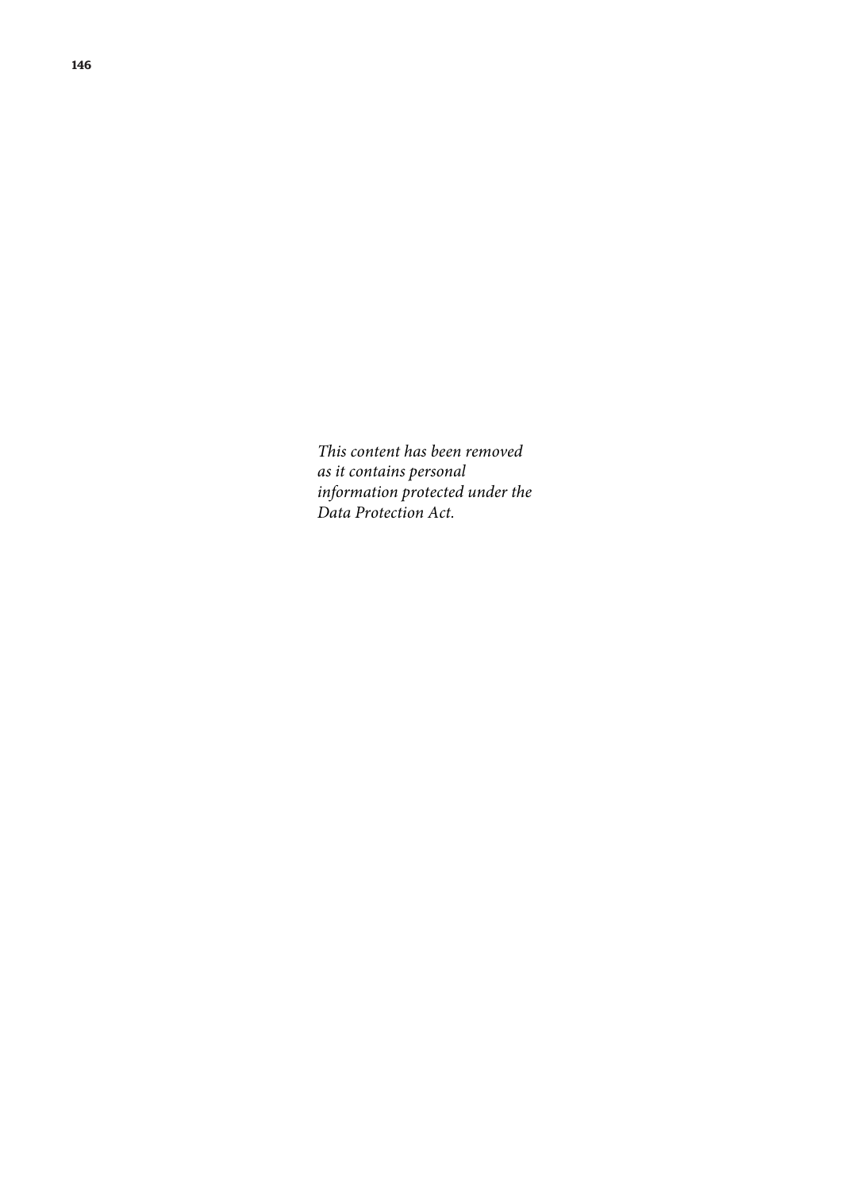*This content has been removed as it contains personal information protected under the Data Protection Act.*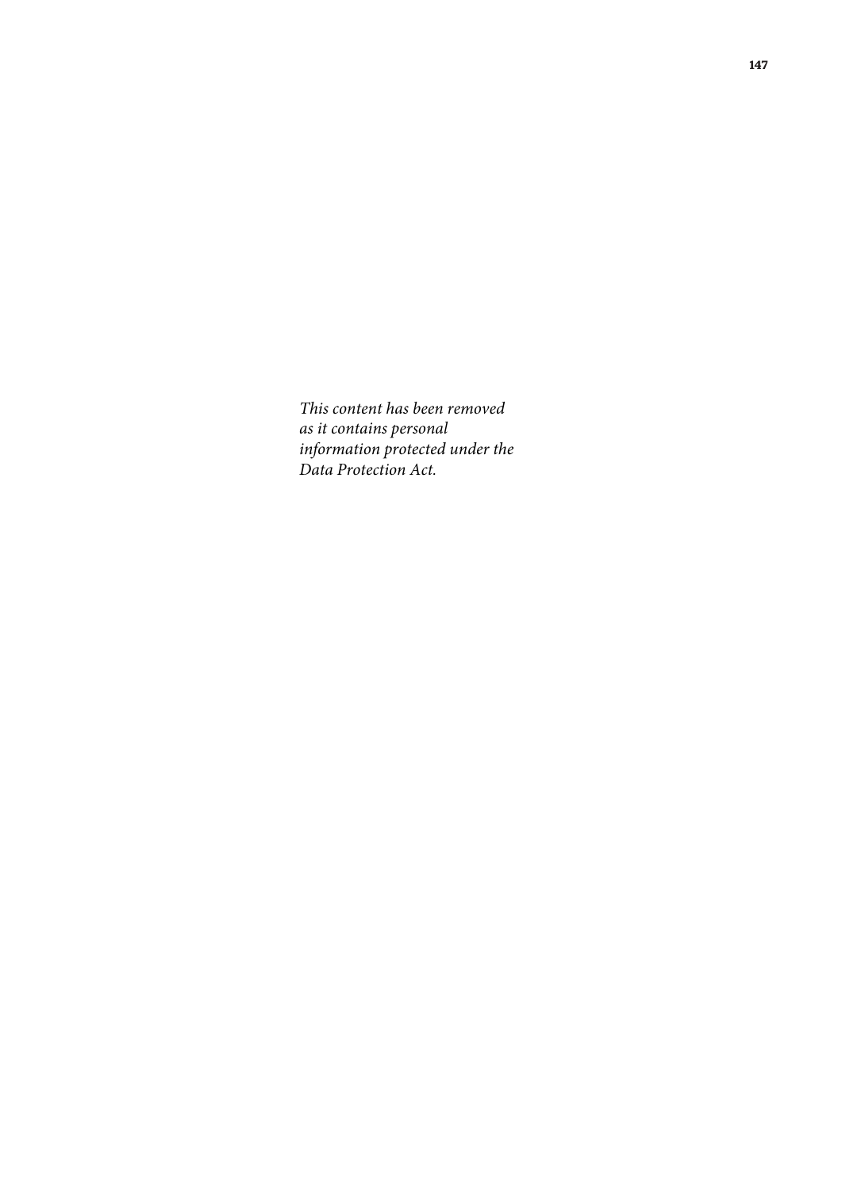*This content has been removed as it contains personal information protected under the Data Protection Act.*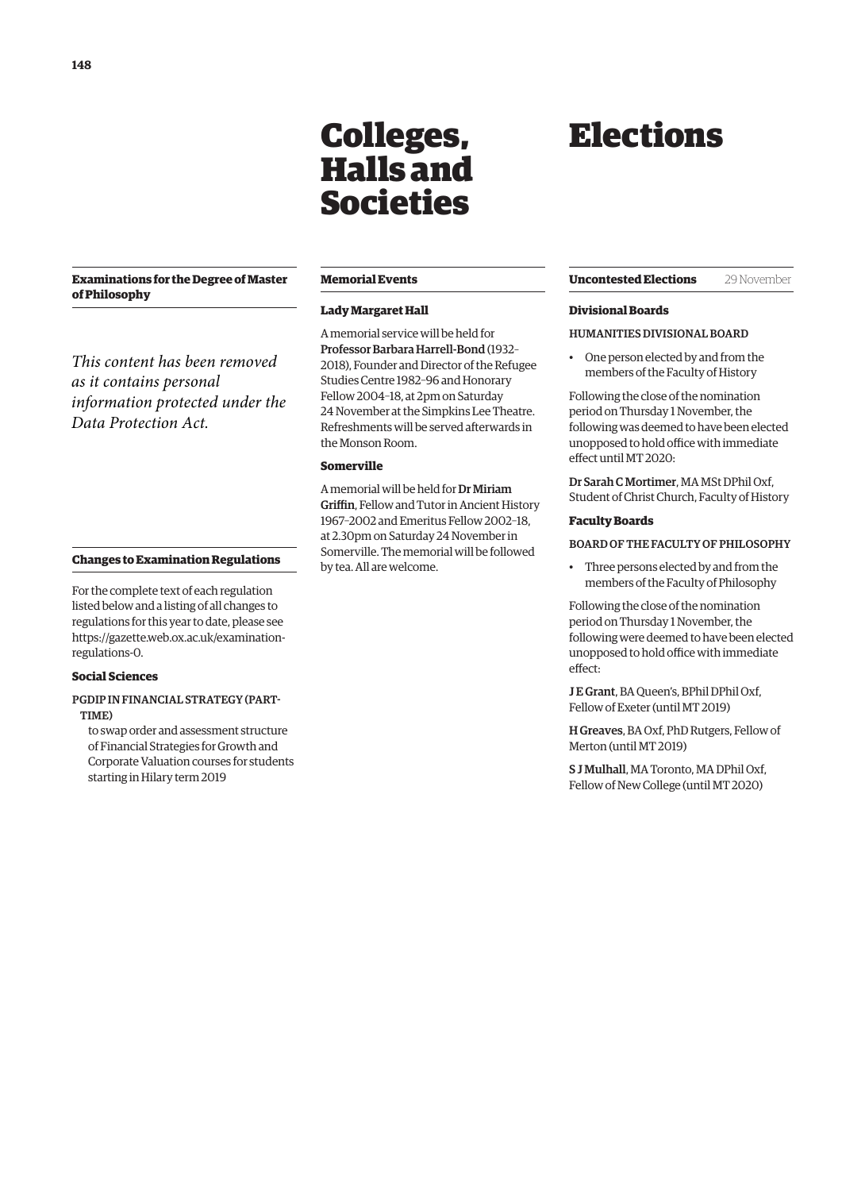# <span id="page-7-0"></span>**Examinations for the Degree of Master of Philosophy**

*This content has been removed as it contains personal information protected under the Data Protection Act.*

### **Memorial Events**

Colleges, Halls and

Societies

### **Lady Margaret Hall**

A memorial service will be held for Professor Barbara Harrell-Bond (1932– 2018), Founder and Director of the Refugee Studies Centre 1982–96 and Honorary Fellow 2004–18, at 2pm on Saturday 24 November at the Simpkins Lee Theatre. Refreshments will be served afterwards in the Monson Room.

### **Somerville**

A memorial will be held for Dr Miriam Griffin, Fellow and Tutor in Ancient History 1967–2002 and Emeritus Fellow 2002–18, at 2.30pm on Saturday 24 November in Somerville. The memorial will be followed by tea. All are welcome.

### **Changes to Examination Regulations**

For the complete text of each regulation listed below and a listing of all changes to regulations for this year to date, please see [https://gazette.web.ox.ac.uk/examination](https://gazette.web.ox.ac.uk/examination-regulations-0)regulations-0.

### **Social Sciences**

### PGDIP IN FINANCIAL STRATEGY (PART-TIME)

to swap order and assessment structure of Financial Strategies for Growth and Corporate Valuation courses for students starting in Hilary term 2019

# Elections

### **Uncontested Elections** 29 November

### **Divisional Boards**

### HUMANITIES DIVISIONAL BOARD

• One person elected by and from the members of the Faculty of History

Following the close of the nomination period on Thursday 1 November, the following was deemed to have been elected unopposed to hold office with immediate effect until MT 2020:

Dr Sarah C Mortimer, MA MSt DPhil Oxf, Student of Christ Church, Faculty of History

### **Faculty Boards**

BOARD OF THE FACULTY OF PHILOSOPHY

• Three persons elected by and from the members of the Faculty of Philosophy

Following the close of the nomination period on Thursday 1 November, the following were deemed to have been elected unopposed to hold office with immediate effect:

J E Grant, BA Queen's, BPhil DPhil Oxf, Fellow of Exeter (until MT 2019)

H Greaves, BA Oxf, PhD Rutgers, Fellow of Merton (until MT 2019)

S J Mulhall, MA Toronto, MA DPhil Oxf, Fellow of New College (until MT 2020)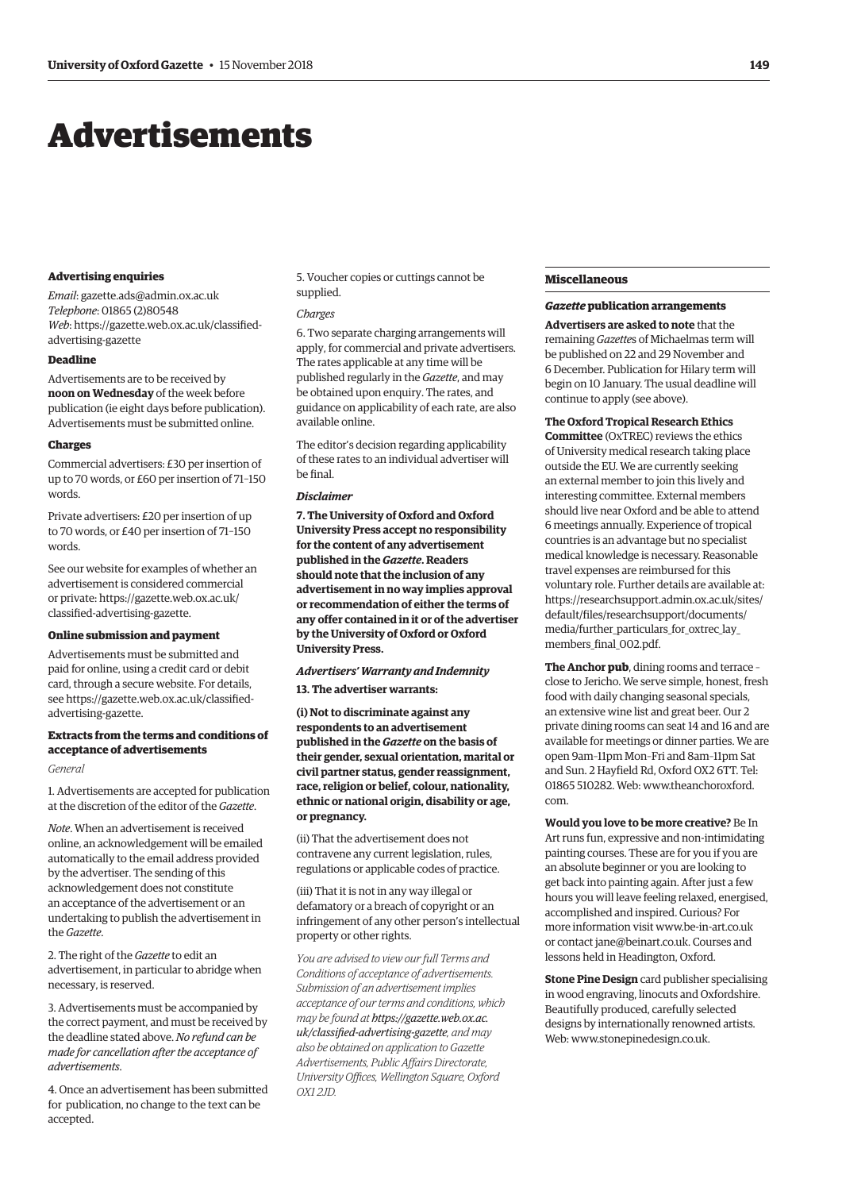# <span id="page-8-0"></span>Advertisements

### **Advertising enquiries**

*Email*: [gazette.ads@admin.ox.ac.uk](mailto:gazette.ads@admin.ox.ac.uk) *Telephone*: 01865 (2)80548 *Web*[: https://gazette.web.ox.ac.uk/classified](https://gazette.web.ox.ac.uk/classified-advertising-gazette)advertising-gazette

### **Deadline**

Advertisements are to be received by **noon on Wednesday** of the week before publication (ie eight days before publication). Advertisements must be submitted online.

#### **Charges**

Commercial advertisers: £30 per insertion of up to 70 words, or £60 per insertion of 71–150 words.

Private advertisers: £20 per insertion of up to 70 words, or £40 per insertion of 71–150 words.

See our website for examples of whether an advertisement is considered commercial [or private: https://gazette.web.ox.ac.uk/](https://gazette.web.ox.ac.uk/classfied-advertising-gazette) classified-advertising-gazette.

### **Online submission and payment**

Advertisements must be submitted and paid for online, using a credit card or debit card, through a secure website. For details, [see https://gazette.web.ox.ac.uk/classified](https://gazette.web.ox.ac.uk/classfied-advertising-gazette)advertising-gazette.

### **Extracts from the terms and conditions of acceptance of advertisements**

### *General*

1. Advertisements are accepted for publication at the discretion of the editor of the *Gazette*.

*Note*. When an advertisement is received online, an acknowledgement will be emailed automatically to the email address provided by the advertiser. The sending of this acknowledgement does not constitute an acceptance of the advertisement or an undertaking to publish the advertisement in the *Gazette*.

2. The right of the *Gazette* to edit an advertisement, in particular to abridge when necessary, is reserved.

3. Advertisements must be accompanied by the correct payment, and must be received by the deadline stated above. *No refund can be made for cancellation after the acceptance of advertisements*.

4. Once an advertisement has been submitted for publication, no change to the text can be accepted.

5. Voucher copies or cuttings cannot be supplied.

#### *Charges*

6. Two separate charging arrangements will apply, for commercial and private advertisers. The rates applicable at any time will be published regularly in the *Gazette*, and may be obtained upon enquiry. The rates, and guidance on applicability of each rate, are also available online.

The editor's decision regarding applicability of these rates to an individual advertiser will be final.

### *Disclaimer*

**7. The University of Oxford and Oxford University Press accept no responsibility for the content of any advertisement published in the** *Gazette***. Readers should note that the inclusion of any advertisement in no way implies approval or recommendation of either the terms of any offer contained in it or of the advertiser by the University of Oxford or Oxford University Press.**

### *Advertisers' Warranty and Indemnity*

### **13. The advertiser warrants:**

**(i) Not to discriminate against any respondents to an advertisement published in the** *Gazette* **on the basis of their gender, sexual orientation, marital or civil partner status, gender reassignment, race, religion or belief, colour, nationality, ethnic or national origin, disability or age, or pregnancy.**

(ii) That the advertisement does not contravene any current legislation, rules, regulations or applicable codes of practice.

(iii) That it is not in any way illegal or defamatory or a breach of copyright or an infringement of any other person's intellectual property or other rights.

*You are advised to view our full Terms and Conditions of acceptance of advertisements. Submission of an advertisement implies acceptance of our terms and conditions, which may be found at https://gazette.web.ox.ac. [uk/classified-advertising-gazette](https://gazette.web.ox.ac.uk/classfied-advertising-gazette), and may also be obtained on application to Gazette Advertisements, Public Affairs Directorate, University Offices, Wellington Square, Oxford OX1 2JD.*

### **Miscellaneous**

# *Gazette* **publication arrangements**

**Advertisers are asked to note** that the remaining *Gazette*s of Michaelmas term will be published on 22 and 29 November and 6 December. Publication for Hilary term will begin on 10 January. The usual deadline will continue to apply (see above).

**The Oxford Tropical Research Ethics** 

**Committee** (OxTREC) reviews the ethics of University medical research taking place outside the EU. We are currently seeking an external member to join this lively and interesting committee. External members should live near Oxford and be able to attend 6 meetings annually. Experience of tropical countries is an advantage but no specialist medical knowledge is necessary. Reasonable travel expenses are reimbursed for this voluntary role. Further details are available at: [https://researchsupport.admin.ox.ac.uk/sites/](https://researchsupport.admin.ox.ac.uk/sites/default/files/researchsupport/documents/media/further_particulars_for_oxtrec_lay_members_final_002.pdf) default/files/researchsupport/documents/ media/further\_particulars\_for\_oxtrec\_lay\_ members final 002.pdf.

**The Anchor pub**, dining rooms and terrace – close to Jericho. We serve simple, honest, fresh food with daily changing seasonal specials, an extensive wine list and great beer. Our 2 private dining rooms can seat 14 and 16 and are available for meetings or dinner parties. We are open 9am–11pm Mon–Fri and 8am–11pm Sat and Sun. 2 Hayfield Rd, Oxford OX2 6TT. Tel: [01865 510282. Web: www.theanchoroxford.](www.theanchoroxford.com) com.

**Would you love to be more creative?** Be In Art runs fun, expressive and non-intimidating painting courses. These are for you if you are an absolute beginner or you are looking to get back into painting again. After just a few hours you will leave feeling relaxed, energised, accomplished and inspired. Curious? For more information visit [www.be-in-art.co.uk](http://www.be-in-art.co.uk)  or contact [jane@beinart.co.uk. Co](mailto:jane@beinart.co.uk)urses and lessons held in Headington, Oxford.

**Stone Pine Design** card publisher specialising in wood engraving, linocuts and Oxfordshire. Beautifully produced, carefully selected designs by internationally renowned artists. Web: [www.stonepinedesign.co.uk.](http://www.stonepinedesign.co.uk)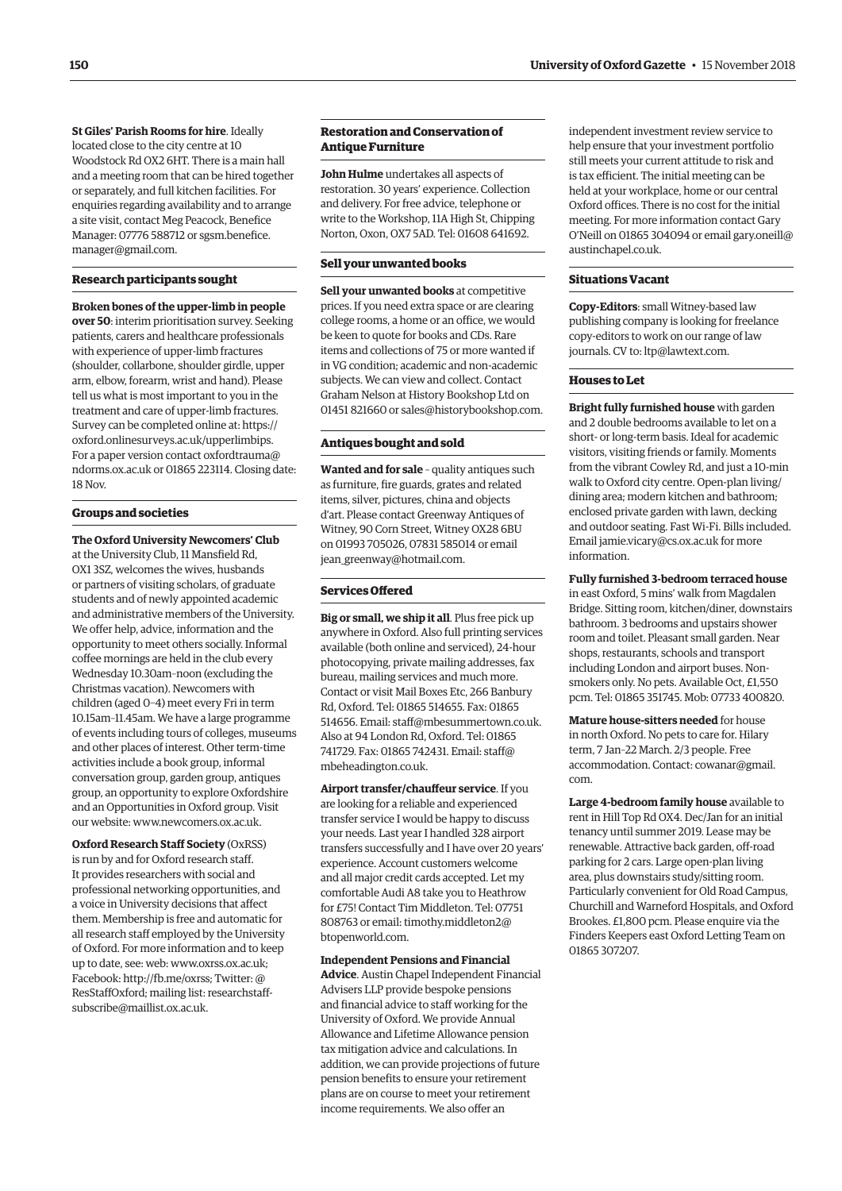**St Giles' Parish Rooms for hire**. Ideally located close to the city centre at 10 Woodstock Rd OX2 6HT. There is a main hall and a meeting room that can be hired together or separately, and full kitchen facilities. For enquiries regarding availability and to arrange a site visit, contact Meg Peacock, Benefice [Manager: 07776 588712 or sgsm.benefice.](mailto:sgsm.benefice.manager@gmail.com) manager@gmail.com.

### **Research participants sought**

#### **Broken bones of the upper-limb in people**

**over 50**: interim prioritisation survey. Seeking patients, carers and healthcare professionals with experience of upper-limb fractures (shoulder, collarbone, shoulder girdle, upper arm, elbow, forearm, wrist and hand). Please tell us what is most important to you in the treatment and care of upper-limb fractures. Survey can be completed online at: [https://](https://oxford.onlinesurveys.ac.uk/upperlimbips) [oxford.onlinesurveys.ac.uk/upperlimbips.](https://oxford.onlinesurveys.ac.uk/upperlimbips)  For a paper version contact oxfordtrauma@ [ndorms.ox.ac.uk or 01865 223114. Closing date:](mailto:oxfordtrauma@ndorms.ox.ac.uk)  18 Nov.

### **Groups and societies**

**The Oxford University Newcomers' Club**  at the University Club, 11 Mansfield Rd, OX1 3SZ, welcomes the wives, husbands or partners of visiting scholars, of graduate students and of newly appointed academic and administrative members of the University. We offer help, advice, information and the opportunity to meet others socially. Informal coffee mornings are held in the club every Wednesday 10.30am–noon (excluding the Christmas vacation). Newcomers with children (aged 0–4) meet every Fri in term 10.15am–11.45am. We have a large programme of events including tours of colleges, museums and other places of interest. Other term-time activities include a book group, informal conversation group, garden group, antiques group, an opportunity to explore Oxfordshire and an Opportunities in Oxford group. Visit our website: [www.newcomers.ox.ac.uk.](http://www.newcomers.ox.ac.uk) 

**Oxford Research Staff Society** (OxRSS) is run by and for Oxford research staff. It provides researchers with social and professional networking opportunities, and a voice in University decisions that affect them. Membership is free and automatic for all research staff employed by the University of Oxford. For more information and to keep up to date, see: web: [www.oxrss.ox.ac.uk;](http://www.oxrss.ox.ac.uk)  Facebook: [http://fb.me/oxrss; Tw](http://fb.me/oxrss)itter: @ [ResStaffOxford; mailing list: researchstaff](mailto:researchstaff-subscribe@maillist.ox.ac.uk)subscribe@maillist.ox.ac.uk.

## **Restoration and Conservation of Antique Furniture**

**John Hulme** undertakes all aspects of restoration. 30 years' experience. Collection and delivery. For free advice, telephone or write to the Workshop, 11A High St, Chipping Norton, Oxon, OX7 5AD. Tel: 01608 641692.

### **Sell your unwanted books**

**Sell your unwanted books** at competitive prices. If you need extra space or are clearing college rooms, a home or an office, we would be keen to quote for books and CDs. Rare items and collections of 75 or more wanted if in VG condition; academic and non-academic subjects. We can view and collect. Contact Graham Nelson at History Bookshop Ltd on 01451 821660 or [sales@historybookshop.com.](mailto:sales@historybookshop.com)

### **Antiques bought and sold**

**Wanted and for sale** – quality antiques such as furniture, fire guards, grates and related items, silver, pictures, china and objects d'art. Please contact Greenway Antiques of Witney, 90 Corn Street, Witney OX28 6BU on 01993 705026, 07831 585014 or email [jean\\_greenway@hotmail.com.](mailto:jean_greenway@hotmail.com)

### **Services Offered**

**Big or small, we ship it all**. Plus free pick up anywhere in Oxford. Also full printing services available (both online and serviced), 24-hour photocopying, private mailing addresses, fax bureau, mailing services and much more. Contact or visit Mail Boxes Etc, 266 Banbury Rd, Oxford. Tel: 01865 514655. Fax: 01865 514656. Email: [staff@mbesummertown.co.uk.](mailto:staff@mbesummertown.co.uk)  Also at 94 London Rd, Oxford. Tel: 01865 [741729. Fax: 01865 742431. Email: staff@](mailto:staff@mbeheadington.co.uk) mbeheadington.co.uk.

**Airport transfer/chauffeur service**. If you are looking for a reliable and experienced transfer service I would be happy to discuss your needs. Last year I handled 328 airport transfers successfully and I have over 20 years' experience. Account customers welcome and all major credit cards accepted. Let my comfortable Audi A8 take you to Heathrow for £75! Contact Tim Middleton. Tel: 07751 [808763 or email: timothy.middleton2@](mailto:timothy.middleton2@btopenworld.com) btopenworld.com.

**Independent Pensions and Financial Advice**. Austin Chapel Independent Financial Advisers LLP provide bespoke pensions and financial advice to staff working for the University of Oxford. We provide Annual Allowance and Lifetime Allowance pension tax mitigation advice and calculations. In addition, we can provide projections of future pension benefits to ensure your retirement plans are on course to meet your retirement income requirements. We also offer an

independent investment review service to help ensure that your investment portfolio still meets your current attitude to risk and is tax efficient. The initial meeting can be held at your workplace, home or our central Oxford offices. There is no cost for the initial meeting. For more information contact Gary [O'Neill on 01865 304094 or email gary.oneill@](mailto:gary.oneill@austinchapel.co.uk) austinchapel.co.uk.

### **Situations Vacant**

**Copy-Editors**: small Witney-based law publishing company is looking for freelance copy-editors to work on our range of law journals. CV to: [ltp@lawtext.com.](mailto:ltp@lawtext.com)

### **Houses to Let**

**Bright fully furnished house** with garden and 2 double bedrooms available to let on a short- or long-term basis. Ideal for academic visitors, visiting friends or family. Moments from the vibrant Cowley Rd, and just a 10-min walk to Oxford city centre. Open-plan living/ dining area; modern kitchen and bathroom; enclosed private garden with lawn, decking and outdoor seating. Fast Wi-Fi. Bills included. Email [jamie.vicary@cs.ox.ac.uk fo](mailto:jamie.vicary@cs.ox.ac.uk)r more information.

**Fully furnished 3-bedroom terraced house** in east Oxford, 5 mins' walk from Magdalen Bridge. Sitting room, kitchen/diner, downstairs bathroom. 3 bedrooms and upstairs shower room and toilet. Pleasant small garden. Near shops, restaurants, schools and transport including London and airport buses. Nonsmokers only. No pets. Available Oct, £1,550 pcm. Tel: 01865 351745. Mob: 07733 400820.

**Mature house-sitters needed** for house in north Oxford. No pets to care for. Hilary term, 7 Jan–22 March. 2/3 people. Free [accommodation. Contact: cowanar@gmail.](mailto:cowanar@gmail.com) com.

**Large 4-bedroom family house** available to rent in Hill Top Rd OX4. Dec/Jan for an initial tenancy until summer 2019. Lease may be renewable. Attractive back garden, off-road parking for 2 cars. Large open-plan living area, plus downstairs study/sitting room. Particularly convenient for Old Road Campus, Churchill and Warneford Hospitals, and Oxford Brookes. £1,800 pcm. Please enquire via the Finders Keepers east Oxford Letting Team on 01865 307207.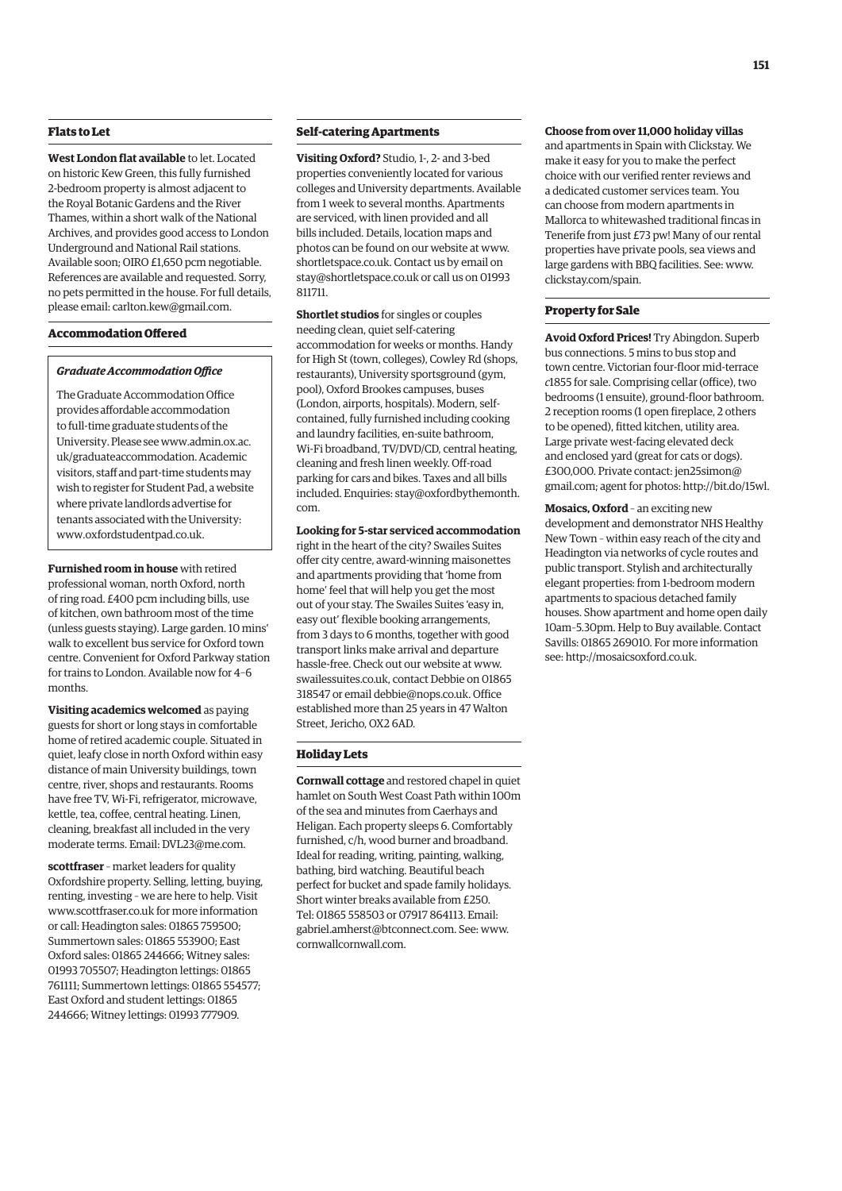### **Flats to Let**

**West London flat available** to let. Located on historic Kew Green, this fully furnished 2-bedroom property is almost adjacent to the Royal Botanic Gardens and the River Thames, within a short walk of the National Archives, and provides good access to London Underground and National Rail stations. Available soon; OIRO £1,650 pcm negotiable. References are available and requested. Sorry, no pets permitted in the house. For full details, please email: [carlton.kew@gmail.com.](mailto:carlton.kew@gmail.com)

### **Accommodation Offered**

### *Graduate Accommodation Office*

The Graduate Accommodation Office provides affordable accommodation to full-time graduate students of the [University. Please see www.admin.ox.ac.](www.admin.ox.ac.uk/graduateaccommodation) uk/graduateaccommodation. Academic visitors, staff and part-time students may wish to register for Student Pad, a website where private landlords advertise for tenants associated with the University: [www.oxfordstudentpad.co.uk.](http://www.oxfordstudentpad.co.uk)

**Furnished room in house** with retired professional woman, north Oxford, north of ring road. £400 pcm including bills, use of kitchen, own bathroom most of the time (unless guests staying). Large garden. 10 mins' walk to excellent bus service for Oxford town centre. Convenient for Oxford Parkway station for trains to London. Available now for 4–6 months.

**Visiting academics welcomed** as paying guests for short or long stays in comfortable home of retired academic couple. Situated in quiet, leafy close in north Oxford within easy distance of main University buildings, town centre, river, shops and restaurants. Rooms have free TV, Wi-Fi, refrigerator, microwave, kettle, tea, coffee, central heating. Linen, cleaning, breakfast all included in the very moderate terms. Email: [DVL23@me.com.](mailto:DVL23@me.com)

**scottfraser** – market leaders for quality Oxfordshire property. Selling, letting, buying, renting, investing – we are here to help. Visit [www.scottfraser.co.uk fo](http://www.scottfraser.co.uk)r more information or call: Headington sales: 01865 759500; Summertown sales: 01865 553900; East Oxford sales: 01865 244666; Witney sales: 01993 705507; Headington lettings: 01865 761111; Summertown lettings: 01865 554577; East Oxford and student lettings: 01865 244666; Witney lettings: 01993 777909.

### **Self-catering Apartments**

**Visiting Oxford?** Studio, 1-, 2- and 3-bed properties conveniently located for various colleges and University departments. Available from 1 week to several months. Apartments are serviced, with linen provided and all bills included. Details, location maps and photos can be found on our website at [www.](http://www.shortletspace.co.uk) [shortletspace.co.uk. Co](http://www.shortletspace.co.uk)ntact us by email on [stay@shortletspace.co.uk or](mailto:stay@shortletspace.co.uk) call us on 01993 811711.

**Shortlet studios** for singles or couples needing clean, quiet self-catering accommodation for weeks or months. Handy for High St (town, colleges), Cowley Rd (shops, restaurants), University sportsground (gym, pool), Oxford Brookes campuses, buses (London, airports, hospitals). Modern, selfcontained, fully furnished including cooking and laundry facilities, en-suite bathroom, Wi-Fi broadband, TV/DVD/CD, central heating, cleaning and fresh linen weekly. Off-road parking for cars and bikes. Taxes and all bills [included. Enquiries: stay@oxfordbythemonth.](mailto:stay@oxfordbythemonth.com) com.

**Looking for 5-star serviced accommodation** right in the heart of the city? Swailes Suites offer city centre, award-winning maisonettes and apartments providing that 'home from home' feel that will help you get the most out of your stay. The Swailes Suites 'easy in, easy out' flexible booking arrangements, from 3 days to 6 months, together with good transport links make arrival and departure hassle-free. Check out our website at [www.](http://www.swailessuites.co.uk) [swailessuites.co.uk, co](http://www.swailessuites.co.uk)ntact Debbie on 01865 318547 or email [debbie@nops.co.uk. Of](mailto:debbie@nops.co.uk)fice established more than 25 years in 47 Walton Street, Jericho, OX2 6AD.

### **Holiday Lets**

**Cornwall cottage** and restored chapel in quiet hamlet on South West Coast Path within 100m of the sea and minutes from Caerhays and Heligan. Each property sleeps 6. Comfortably furnished, c/h, wood burner and broadband. Ideal for reading, writing, painting, walking, bathing, bird watching. Beautiful beach perfect for bucket and spade family holidays. Short winter breaks available from £250. Tel: 01865 558503 or 07917 864113. Email: [gabriel.amherst@btconnect.com. Se](mailto:gabriel.amherst@btconnect.com)e: [www.](http://www.cornwallcornwall.com) [cornwallcornwall.com.](http://www.cornwallcornwall.com)

### **Choose from over 11,000 holiday villas**

and apartments in Spain with Clickstay. We make it easy for you to make the perfect choice with our verified renter reviews and a dedicated customer services team. You can choose from modern apartments in Mallorca to whitewashed traditional fincas in Tenerife from just £73 pw! Many of our rental properties have private pools, sea views and large gardens with BBQ facilities. See: [www.](http://www.clickstay.com/spain) [clickstay.com/spain.](http://www.clickstay.com/spain)

### **Property for Sale**

**Avoid Oxford Prices!** Try Abingdon. Superb bus connections. 5 mins to bus stop and town centre. Victorian four-floor mid-terrace *c*1855 for sale. Comprising cellar (office), two bedrooms (1 ensuite), ground-floor bathroom. 2 reception rooms (1 open fireplace, 2 others to be opened), fitted kitchen, utility area. Large private west-facing elevated deck and enclosed yard (great for cats or dogs). £300,000. Pri[vate contact: jen25simon@](mailto:jen25simon@gmail.com) gmail.com; agent for photos: [http://bit.do/15wl.](http://bit.do/15wl)

**Mosaics, Oxford** – an exciting new development and demonstrator NHS Healthy New Town – within easy reach of the city and Headington via networks of cycle routes and public transport. Stylish and architecturally elegant properties: from 1-bedroom modern apartments to spacious detached family houses. Show apartment and home open daily 10am–5.30pm. Help to Buy available. Contact Savills: 01865 269010. For more information see: [http://mosaicsoxford.co.uk.](http://mosaicsoxford.co.uk)